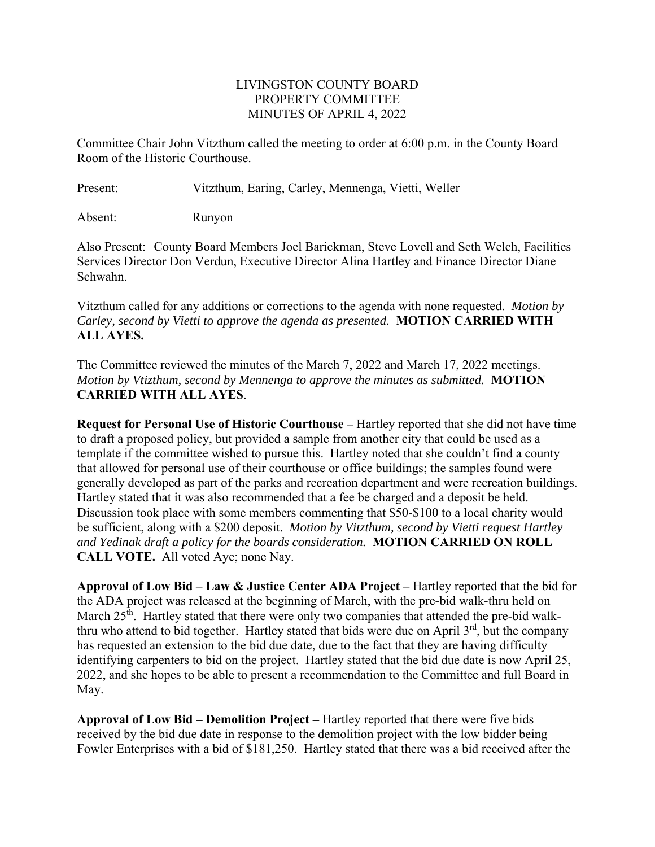#### LIVINGSTON COUNTY BOARD PROPERTY COMMITTEE MINUTES OF APRIL 4, 2022

Committee Chair John Vitzthum called the meeting to order at 6:00 p.m. in the County Board Room of the Historic Courthouse.

Present: Vitzthum, Earing, Carley, Mennenga, Vietti, Weller

Absent: Runyon

Also Present: County Board Members Joel Barickman, Steve Lovell and Seth Welch, Facilities Services Director Don Verdun, Executive Director Alina Hartley and Finance Director Diane Schwahn.

Vitzthum called for any additions or corrections to the agenda with none requested. *Motion by Carley, second by Vietti to approve the agenda as presented.* **MOTION CARRIED WITH ALL AYES.** 

The Committee reviewed the minutes of the March 7, 2022 and March 17, 2022 meetings. *Motion by Vtizthum, second by Mennenga to approve the minutes as submitted.* **MOTION CARRIED WITH ALL AYES**.

**Request for Personal Use of Historic Courthouse –** Hartley reported that she did not have time to draft a proposed policy, but provided a sample from another city that could be used as a template if the committee wished to pursue this. Hartley noted that she couldn't find a county that allowed for personal use of their courthouse or office buildings; the samples found were generally developed as part of the parks and recreation department and were recreation buildings. Hartley stated that it was also recommended that a fee be charged and a deposit be held. Discussion took place with some members commenting that \$50-\$100 to a local charity would be sufficient, along with a \$200 deposit. *Motion by Vitzthum, second by Vietti request Hartley and Yedinak draft a policy for the boards consideration.* **MOTION CARRIED ON ROLL CALL VOTE.** All voted Aye; none Nay.

**Approval of Low Bid – Law & Justice Center ADA Project –** Hartley reported that the bid for the ADA project was released at the beginning of March, with the pre-bid walk-thru held on March 25<sup>th</sup>. Hartley stated that there were only two companies that attended the pre-bid walkthru who attend to bid together. Hartley stated that bids were due on April  $3<sup>rd</sup>$ , but the company has requested an extension to the bid due date, due to the fact that they are having difficulty identifying carpenters to bid on the project. Hartley stated that the bid due date is now April 25, 2022, and she hopes to be able to present a recommendation to the Committee and full Board in May.

**Approval of Low Bid – Demolition Project –** Hartley reported that there were five bids received by the bid due date in response to the demolition project with the low bidder being Fowler Enterprises with a bid of \$181,250. Hartley stated that there was a bid received after the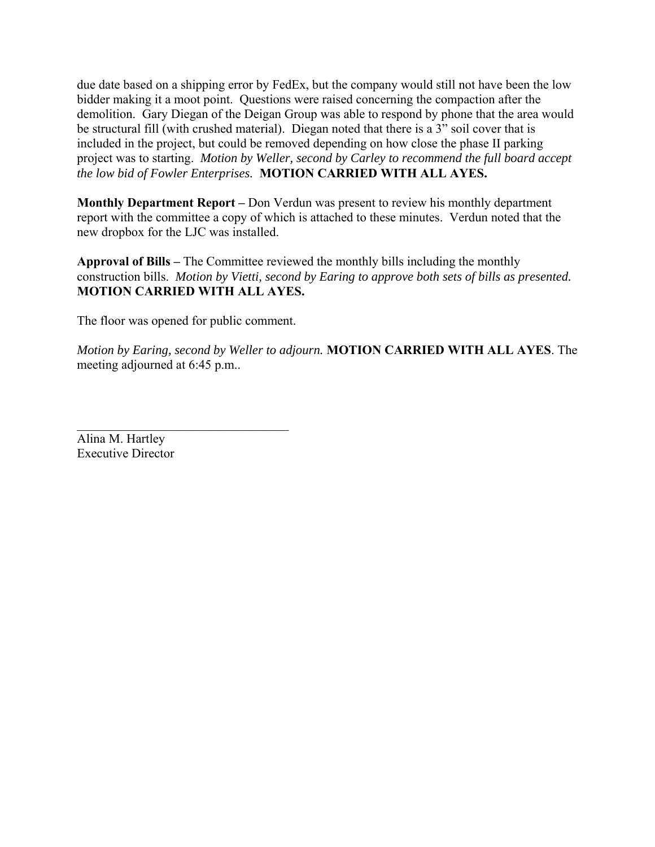due date based on a shipping error by FedEx, but the company would still not have been the low bidder making it a moot point. Questions were raised concerning the compaction after the demolition. Gary Diegan of the Deigan Group was able to respond by phone that the area would be structural fill (with crushed material). Diegan noted that there is a 3" soil cover that is included in the project, but could be removed depending on how close the phase II parking project was to starting. *Motion by Weller, second by Carley to recommend the full board accept the low bid of Fowler Enterprises.* **MOTION CARRIED WITH ALL AYES.** 

**Monthly Department Report –** Don Verdun was present to review his monthly department report with the committee a copy of which is attached to these minutes. Verdun noted that the new dropbox for the LJC was installed.

**Approval of Bills –** The Committee reviewed the monthly bills including the monthly construction bills. *Motion by Vietti, second by Earing to approve both sets of bills as presented.*  **MOTION CARRIED WITH ALL AYES.** 

The floor was opened for public comment.

*Motion by Earing, second by Weller to adjourn.* **MOTION CARRIED WITH ALL AYES**. The meeting adjourned at 6:45 p.m..

Alina M. Hartley Executive Director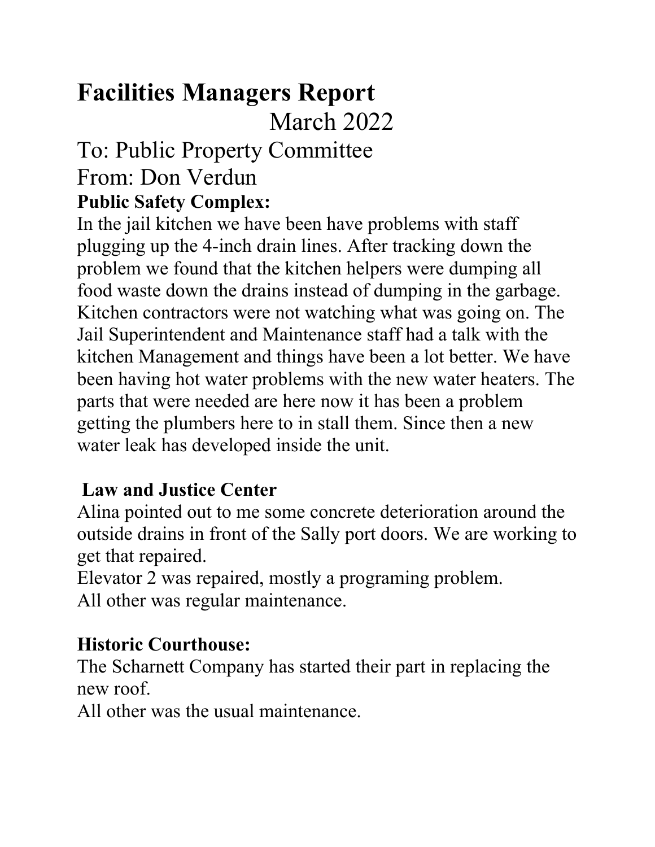# **Facilities Managers Report**

March 2022

# To: Public Property Committee From: Don Verdun **Public Safety Complex:**

In the jail kitchen we have been have problems with staff plugging up the 4-inch drain lines. After tracking down the problem we found that the kitchen helpers were dumping all food waste down the drains instead of dumping in the garbage. Kitchen contractors were not watching what was going on. The Jail Superintendent and Maintenance staff had a talk with the kitchen Management and things have been a lot better. We have been having hot water problems with the new water heaters. The parts that were needed are here now it has been a problem getting the plumbers here to in stall them. Since then a new water leak has developed inside the unit.

#### **Law and Justice Center**

Alina pointed out to me some concrete deterioration around the outside drains in front of the Sally port doors. We are working to get that repaired.

Elevator 2 was repaired, mostly a programing problem. All other was regular maintenance.

#### **Historic Courthouse:**

The Scharnett Company has started their part in replacing the new roof.

All other was the usual maintenance.